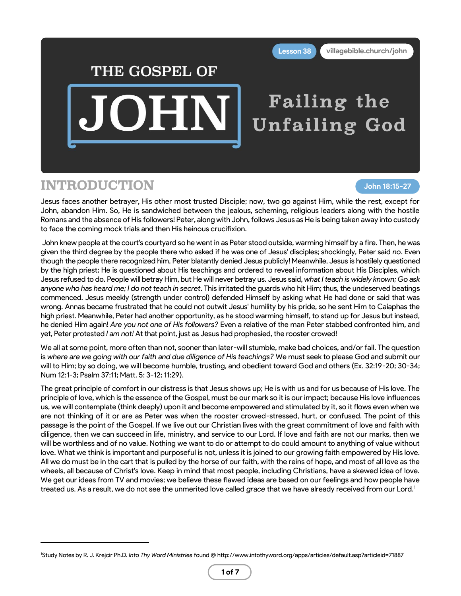## THE GOSPEL OF

DHN

# Failing the **Unfailing God**

### INTRODUCTION

**John 18:15-27**

Jesus faces another betrayer, His other most trusted Disciple; now, two go against Him, while the rest, except for John, abandon Him. So, He is sandwiched between the jealous, scheming, religious leaders along with the hostile Romans and the absence of His followers! Peter, along with John, follows Jesus as He is being taken away into custody to face the coming mock trials and then His heinous crucifixion.

John knew people at the court's courtyard so he went in as Peter stood outside, warming himself by a fire. Then, he was given the third degree by the people there who asked if he was one of Jesus' disciples; shockingly, Peter said *no*. Even though the people there recognized him, Peter blatantly denied Jesus publicly! Meanwhile, Jesus is hostilely questioned by the high priest; He is questioned about His teachings and ordered to reveal information about His Disciples, which Jesus refused to do. People will betray Him, but He will never betray us. Jesus said, *what I teach is widely known; Go ask anyone who has heard me; I do not teach in secret*. This irritated the guards who hit Him; thus, the undeserved beatings commenced. Jesus meekly (strength under control) defended Himself by asking what He had done or said that was wrong. Annas became frustrated that he could not outwit Jesus' humility by his pride, so he sent Him to Caiaphas the high priest. Meanwhile, Peter had another opportunity, as he stood warming himself, to stand up for Jesus but instead, he denied Him again! *Are you not one of His followers?* Even a relative of the man Peter stabbed confronted him, and yet, Peter protested *I am not!* At that point, just as Jesus had prophesied, the rooster crowed!

We all at some point, more often than not, sooner than later-will stumble, make bad choices, and/or fail. The question is *where are we going with our faith and due diligence of His teachings?* We must seek to please God and submit our will to Him; by so doing, we will become humble, trusting, and obedient toward God and others (Ex. 32:19-20; 30-34; Num 12:1-3; Psalm 37:11; Matt. 5: 3-12; 11:29).

The great principle of comfort in our distress is that Jesus shows up; He is with us and for us because of His love. The principle of love, which is the essence of the Gospel, must be our mark so it is our impact; because His love influences us, we will contemplate (think deeply) upon it and become empowered and stimulated by it, so it flows even when we are not thinking of it or are as Peter was when the rooster crowed-stressed, hurt, or confused. The point of this passage is the point of the Gospel. If we live out our Christian lives with the great commitment of love and faith with diligence, then we can succeed in life, ministry, and service to our Lord. If love and faith are not our marks, then we will be worthless and of no value. Nothing we want to do or attempt to do could amount to anything of value without love. What we think is important and purposeful is not, unless it is joined to our growing faith empowered by His love. All we do must be in the cart that is pulled by the horse of our faith, with the reins of hope, and most of all love as the wheels, all because of Christ's love. Keep in mind that most people, including Christians, have a skewed idea of love. We get our ideas from TV and movies; we believe these flawed ideas are based on our feelings and how people have treated us. As a result, we do not see the unmerited love called *grace* that we have already received from our Lord.<sup>1</sup>

<sup>1</sup>Study Notes by R. J. Krejcir Ph.D. *Into Thy Word Ministries* found @ http://www.intothyword.org/apps/articles/default.asp?articleid=71887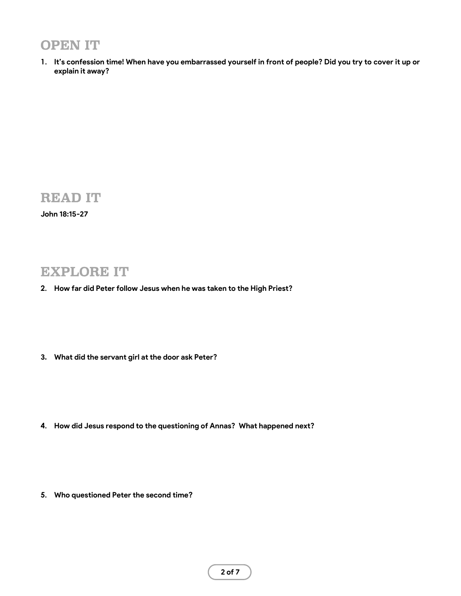### OPEN IT

**1. It's confession time! When have you embarrassed yourself in front of people? Did you try to cover it up or explain it away?**

### READ IT

**John 18:15-27**

#### EXPLORE IT

- **2. How far did Peter follow Jesus when he was taken to the High Priest?**
- **3. What did the servant girl at the door ask Peter?**

- **4. How did Jesus respond to the questioning of Annas? What happened next?**
- **5. Who questioned Peter the second time?**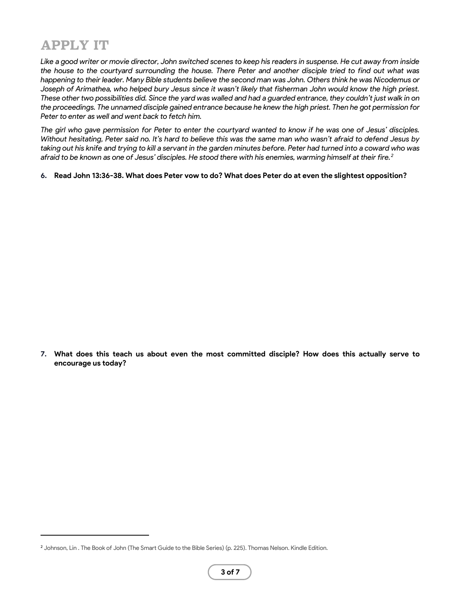### APPLY IT

*Like a good writer or movie director, John switched scenes to keep his readers in suspense. He cut away from inside the house to the courtyard surrounding the house. There Peter and another disciple tried to find out what was happening to their leader. Many Bible students believe the second man was John. Others think he was Nicodemus or Joseph of Arimathea, who helped bury Jesus since it wasn't likely that fisherman John would know the high priest. These other two possibilities did. Since the yard was walled and had a guarded entrance, they couldn't just walk in on the proceedings. The unnamed disciple gained entrance because he knew the high priest. Then he got permission for Peter to enter as well and went back to fetch him.* 

*The girl who gave permission for Peter to enter the courtyard wanted to know if he was one of Jesus' disciples. Without hesitating, Peter said no. It's hard to believe this was the same man who wasn't afraid to defend Jesus by taking out his knife and trying to kill a servant in the garden minutes before. Peter had turned into a coward who was afraid to be known as one of Jesus' disciples. He stood there with his enemies, warming himself at their fire.<sup>2</sup>*

**6. Read John 13:36-38. What does Peter vow to do? What does Peter do at even the slightest opposition?**

**7. What does this teach us about even the most committed disciple? How does this actually serve to encourage us today?**

<sup>&</sup>lt;sup>2</sup> Johnson, Lin . The Book of John (The Smart Guide to the Bible Series) (p. 225). Thomas Nelson. Kindle Edition.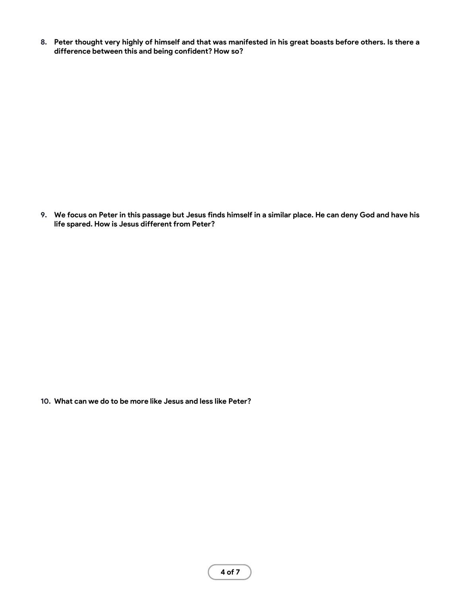**8. Peter thought very highly of himself and that was manifested in his great boasts before others. Is there a difference between this and being confident? How so?**

**9. We focus on Peter in this passage but Jesus finds himself in a similar place. He can deny God and have his life spared. How is Jesus different from Peter?**

**10. What can we do to be more like Jesus and less like Peter?**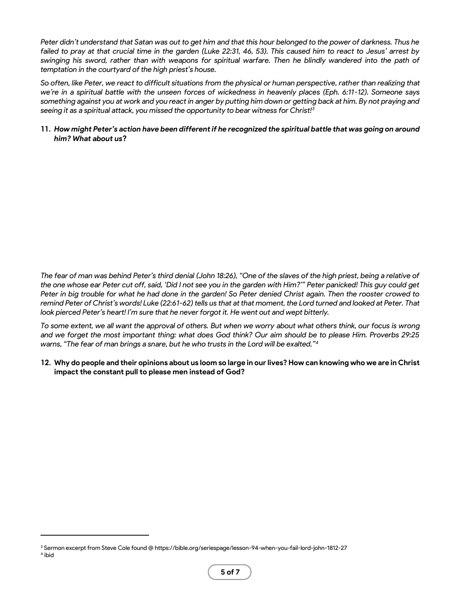*Peter didn't understand that Satan was out to get him and that this hour belonged to the power of darkness. Thus he failed to pray at that crucial time in the garden (Luke 22:31, 46, 53). This caused him to react to Jesus' arrest by swinging his sword, rather than with weapons for spiritual warfare. Then he blindly wandered into the path of temptation in the courtyard of the high priest's house.*

*So often, like Peter, we react to difficult situations from the physical or human perspective, rather than realizing that we're in a spiritual battle with the unseen forces of wickedness in heavenly places (Eph. 6:11-12). Someone says something against you at work and you react in anger by putting him down or getting back at him. By not praying and seeing it as a spiritual attack, you missed the opportunity to bear witness for Christ!<sup>3</sup>*

#### **11.** *How might Peter's action have been different if he recognized the spiritual battle that was going on around him? What about us***?**

*The fear of man was behind Peter's third denial (John 18:26), "One of the slaves of the high priest, being a relative of the one whose ear Peter cut off, said, 'Did I not see you in the garden with Him?'" Peter panicked! This guy could get Peter in big trouble for what he had done in the garden! So Peter denied Christ again. Then the rooster crowed to remind Peter of Christ's words! Luke (22:61-62) tells us that at that moment, the Lord turned and looked at Peter. That look pierced Peter's heart! I'm sure that he never forgot it. He went out and wept bitterly.*

*To some extent, we all want the approval of others. But when we worry about what others think, our focus is wrong and we forget the most important thing: what does God think? Our aim should be to please Him. Proverbs 29:25 warns, "The fear of man brings a snare, but he who trusts in the Lord will be exalted."<sup>4</sup>*

#### **12. Why do people and their opinions about us loom so large in our lives? How can knowing who we are in Christ impact the constant pull to please men instead of God?**

<sup>3</sup> Sermon excerpt from Steve Cole found @ https://bible.org/seriespage/lesson-94-when-you-fail-lord-john-1812-27 4 ibid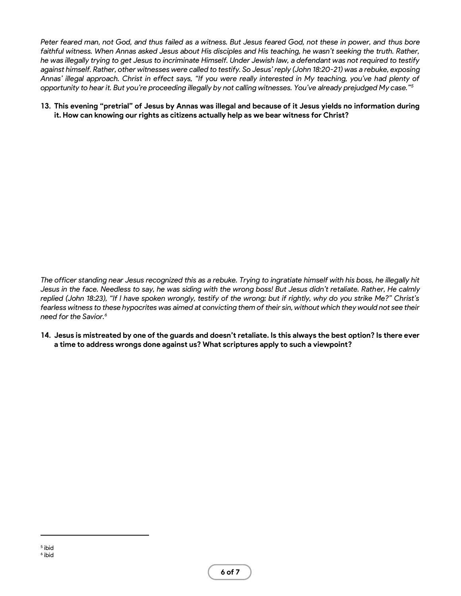*Peter feared man, not God, and thus failed as a witness. But Jesus feared God, not these in power, and thus bore*  faithful witness. When Annas asked Jesus about His disciples and His teaching, he wasn't seeking the truth. Rather, *he was illegally trying to get Jesus to incriminate Himself. Under Jewish law, a defendant was not required to testify against himself. Rather, other witnesses were called to testify. So Jesus' reply (John 18:20-21) was a rebuke, exposing Annas' illegal approach. Christ in effect says, "If you were really interested in My teaching, you've had plenty of opportunity to hear it. But you're proceeding illegally by not calling witnesses. You've already prejudged My case."<sup>5</sup>*

#### **13. This evening "pretrial" of Jesus by Annas was illegal and because of it Jesus yields no information during it. How can knowing our rights as citizens actually help as we bear witness for Christ?**

*The officer standing near Jesus recognized this as a rebuke. Trying to ingratiate himself with his boss, he illegally hit Jesus in the face. Needless to say, he was siding with the wrong boss! But Jesus didn't retaliate. Rather, He calmly replied (John 18:23), "If I have spoken wrongly, testify of the wrong; but if rightly, why do you strike Me?" Christ's fearless witness to these hypocrites was aimed at convicting them of their sin, without which they would not see their need for the Savior.<sup>6</sup>*

**14. Jesus is mistreated by one of the guards and doesn't retaliate. Is this always the best option? Is there ever a time to address wrongs done against us? What scriptures apply to such a viewpoint?**

<sup>5</sup> ibid 6 ibid